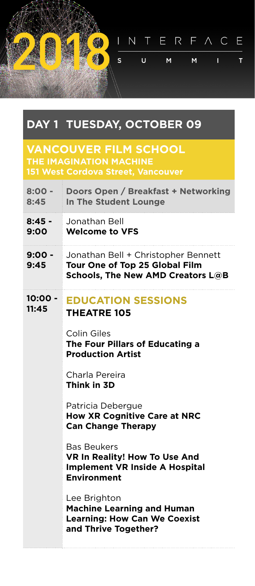INTERFACE s. Ū.  $M$ M.  $\mathbf{L}$  $\mathsf{T}$ 

## **DAY 1 TUESDAY, OCTOBER 09**

## **VANCOUVER FILM SCHOOL THE IMAGINATION MACHINE**

| Doors Open / Breakfast + Networking<br>In The Student Lounge                                                       |
|--------------------------------------------------------------------------------------------------------------------|
| Jonathan Bell<br><b>Welcome to VFS</b>                                                                             |
| Jonathan Bell + Christopher Bennett<br>Tour One of Top 25 Global Film<br><b>Schools, The New AMD Creators L@B</b>  |
| <b>EDUCATION SESSIONS</b><br><b>THEATRE 105</b>                                                                    |
| Colin Giles<br>The Four Pillars of Educating a<br><b>Production Artist</b>                                         |
| Charla Pereira<br>Think in 3D                                                                                      |
| Patricia Debergue<br><b>How XR Cognitive Care at NRC</b><br><b>Can Change Therapy</b>                              |
| <b>Bas Beukers</b><br>VR In Reality! How To Use And<br><b>Implement VR Inside A Hospital</b><br><b>Environment</b> |
| Lee Brighton<br><b>Machine Learning and Human</b><br><b>Learning: How Can We Coexist</b><br>and Thrive Together?   |
|                                                                                                                    |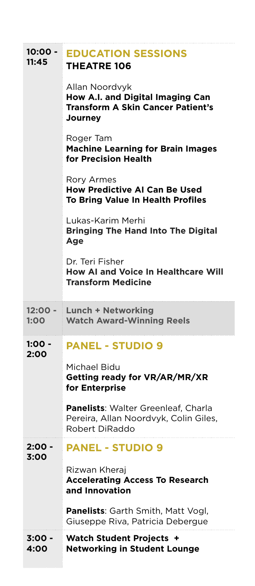| 10:00 -<br>11:45 | <b>EDUCATION SESSIONS</b><br><b>THEATRE 106</b>                                                                  |
|------------------|------------------------------------------------------------------------------------------------------------------|
|                  | Allan Noordvyk<br>How A.I. and Digital Imaging Can<br><b>Transform A Skin Cancer Patient's</b><br><b>Journey</b> |
|                  | Roger Tam<br><b>Machine Learning for Brain Images</b><br>for Precision Health                                    |
|                  | <b>Rory Armes</b><br><b>How Predictive AI Can Be Used</b><br>To Bring Value In Health Profiles                   |
|                  | Lukas-Karim Merhi<br><b>Bringing The Hand Into The Digital</b><br>Age                                            |
|                  | Dr. Teri Fisher<br><b>How AI and Voice In Healthcare Will</b><br><b>Transform Medicine</b>                       |
|                  |                                                                                                                  |
| 12:00 -<br>1:00  | <b>Lunch + Networking</b><br><b>Watch Award-Winning Reels</b>                                                    |
| 1:00 -<br>2:00   | <b>PANEL - STUDIO 9</b>                                                                                          |
|                  | Michael Bidu<br>Getting ready for VR/AR/MR/XR<br>for Enterprise                                                  |
|                  | Panelists: Walter Greenleaf, Charla<br>Pereira, Allan Noordvyk, Colin Giles,<br>Robert DiRaddo                   |
| 2:00 -<br>3:00   | <b>PANEL - STUDIO 9</b>                                                                                          |
|                  | Rizwan Kheraj<br><b>Accelerating Access To Research</b><br>and Innovation                                        |
|                  | <b>Panelists: Garth Smith, Matt Vogl,</b><br>Giuseppe Riva, Patricia Debergue                                    |